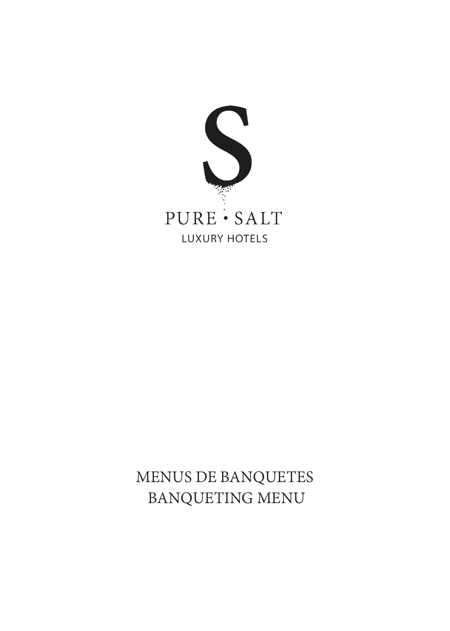

# MENUS DE BANQUETES BANQUETING MENU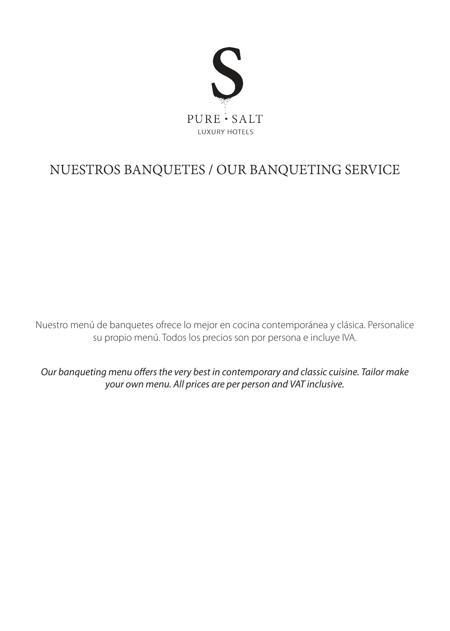

# NUESTROS BANQUETES / OUR BANQUETING SERVICE

Nuestro menú de banquetes ofrece lo mejor en cocina contemporánea y clásica. Personalice su propio menú. Todos los precios son por persona e incluye IVA.

*Our banqueting menu offers the very best in contemporary and classic cuisine. Tailor make your own menu. All prices are per person and VAT inclusive.*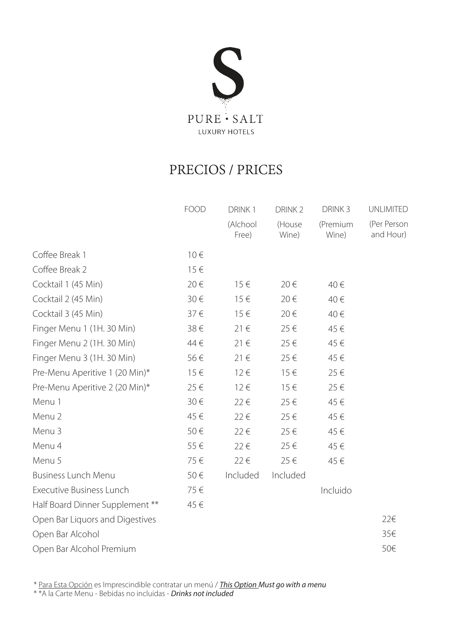

# PRECIOS / PRICES

|                                 | <b>FOOD</b> | DRINK1            | DRINK <sub>2</sub> | DRINK <sub>3</sub> | <b>UNLIMITED</b>         |
|---------------------------------|-------------|-------------------|--------------------|--------------------|--------------------------|
|                                 |             | (Alchool<br>Free) | (House<br>Wine)    | (Premium<br>Wine)  | (Per Person<br>and Hour) |
| Coffee Break 1                  | $10 \in$    |                   |                    |                    |                          |
| Coffee Break 2                  | 15€         |                   |                    |                    |                          |
| Cocktail 1 (45 Min)             | 20€         | $15 \in$          | 20€                | 40€                |                          |
| Cocktail 2 (45 Min)             | 30€         | $15 \in$          | 20€                | 40€                |                          |
| Cocktail 3 (45 Min)             | 37€         | $15 \in$          | 20€                | 40€                |                          |
| Finger Menu 1 (1H. 30 Min)      | 38€         | 21€               | 25€                | 45€                |                          |
| Finger Menu 2 (1H. 30 Min)      | 44 €        | $21 \in$          | 25€                | 45€                |                          |
| Finger Menu 3 (1H. 30 Min)      | 56€         | 21€               | 25€                | 45€                |                          |
| Pre-Menu Aperitive 1 (20 Min)*  | $15 \in$    | $12 \in$          | $15 \in$           | 25€                |                          |
| Pre-Menu Aperitive 2 (20 Min)*  | 25€         | $12 \in$          | $15 \in$           | 25€                |                          |
| Menu 1                          | 30€         | 22€               | 25€                | 45€                |                          |
| Menu 2                          | 45€         | 22€               | 25€                | 45€                |                          |
| Menu 3                          | 50€         | 22€               | 25€                | 45€                |                          |
| Menu 4                          | 55€         | 22€               | 25€                | 45€                |                          |
| Menu 5                          | 75€         | 22€               | 25€                | 45€                |                          |
| <b>Business Lunch Menu</b>      | 50€         | Included          | Included           |                    |                          |
| <b>Executive Business Lunch</b> | 75€         |                   |                    | Incluido           |                          |
| Half Board Dinner Supplement ** | 45€         |                   |                    |                    |                          |
| Open Bar Liquors and Digestives |             |                   |                    |                    | 22€                      |
| Open Bar Alcohol                |             |                   |                    |                    | 35€                      |
| Open Bar Alcohol Premium        |             |                   |                    |                    | 50€                      |
|                                 |             |                   |                    |                    |                          |

\* Para Esta Opción es Imprescindible contratar un menú / *This Option Must go with a menu*

\* \*A la Carte Menu - Bebidas no incluidas - *Drinks not included*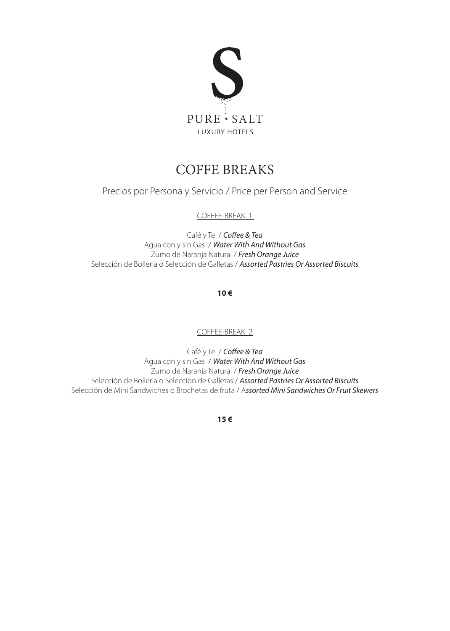

#### COFFE BREAKS

Precios por Persona y Servicio / Price per Person and Service

COFFEE-BREAK 1

Café y Te / *Coffee & Tea*  Agua con y sin Gas / *Water With And Without Gas*  Zumo de Naranja Natural / *Fresh Orange Juice* Selección de Bolleria o Selección de Galletas / *Assorted Pastries Or Assorted Biscuits*

**10 €** 

COFFEE-BREAK 2

Café y Te / *Coffee & Tea*  Agua con y sin Gas / *Water With And Without Gas*  Zumo de Naranja Natural / *Fresh Orange Juice* Selección de Bolleria o Seleccion de Galletas / *Assorted Pastries Or Assorted Biscuits* Selección de Mini Sandwiches o Brochetas de fruta / A*ssorted Mini Sandwiches Or Fruit Skewers*

**15 €**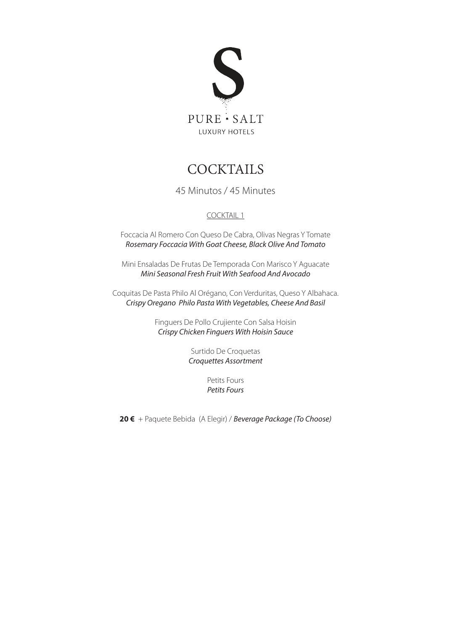

### **COCKTAILS**

45 Minutos / 45 Minutes

#### COCKTAIL 1

Foccacia Al Romero Con Queso De Cabra, Olivas Negras Y Tomate *Rosemary Foccacia With Goat Cheese, Black Olive And Tomato*

Mini Ensaladas De Frutas De Temporada Con Marisco Y Aguacate *Mini Seasonal Fresh Fruit With Seafood And Avocado*

Coquitas De Pasta Philo Al Orégano, Con Verduritas, Queso Y Albahaca. *Crispy Oregano Philo Pasta With Vegetables, Cheese And Basil*

> Finguers De Pollo Crujiente Con Salsa Hoisin *Crispy Chicken Finguers With Hoisin Sauce*

> > Surtido De Croquetas *Croquettes Assortment*

> > > Petits Fours *Petits Fours*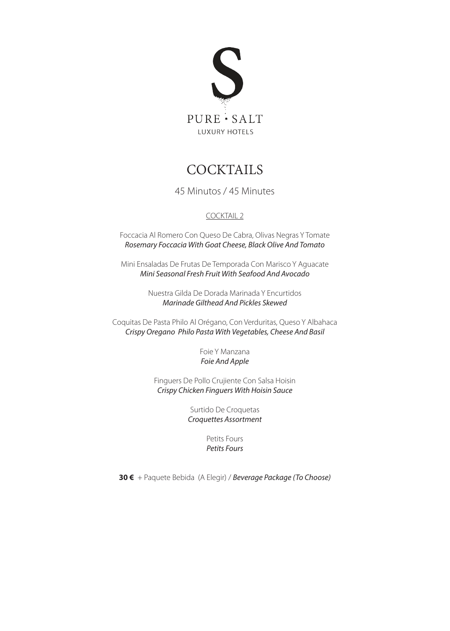

#### **COCKTAILS**

45 Minutos / 45 Minutes

#### COCKTAIL 2

Foccacia Al Romero Con Queso De Cabra, Olivas Negras Y Tomate *Rosemary Foccacia With Goat Cheese, Black Olive And Tomato*

Mini Ensaladas De Frutas De Temporada Con Marisco Y Aguacate *Mini Seasonal Fresh Fruit With Seafood And Avocado*

> Nuestra Gilda De Dorada Marinada Y Encurtidos *Marinade Gilthead And Pickles Skewed*

Coquitas De Pasta Philo Al Orégano, Con Verduritas, Queso Y Albahaca *Crispy Oregano Philo Pasta With Vegetables, Cheese And Basil*

> Foie Y Manzana *Foie And Apple*

Finguers De Pollo Crujiente Con Salsa Hoisin *Crispy Chicken Finguers With Hoisin Sauce*

> Surtido De Croquetas *Croquettes Assortment*

> > Petits Fours *Petits Fours*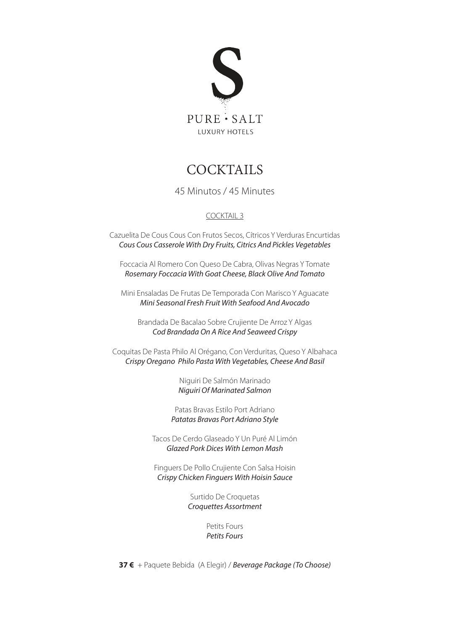

#### **COCKTAILS**

45 Minutos / 45 Minutes

#### COCKTAIL 3

Cazuelita De Cous Cous Con Frutos Secos, Cítricos Y Verduras Encurtidas *Cous Cous Casserole With Dry Fruits, Citrics And Pickles Vegetables*

Foccacia Al Romero Con Queso De Cabra, Olivas Negras Y Tomate *Rosemary Foccacia With Goat Cheese, Black Olive And Tomato*

Mini Ensaladas De Frutas De Temporada Con Marisco Y Aguacate *Mini Seasonal Fresh Fruit With Seafood And Avocado*

Brandada De Bacalao Sobre Crujiente De Arroz Y Algas *Cod Brandada On A Rice And Seaweed Crispy*

Coquitas De Pasta Philo Al Orégano, Con Verduritas, Queso Y Albahaca *Crispy Oregano Philo Pasta With Vegetables, Cheese And Basil*

> Niguiri De Salmón Marinado *Niguiri Of Marinated Salmon*

Patas Bravas Estilo Port Adriano *Patatas Bravas Port Adriano Style*

Tacos De Cerdo Glaseado Y Un Puré Al Limón *Glazed Pork Dices With Lemon Mash*

Finguers De Pollo Crujiente Con Salsa Hoisin *Crispy Chicken Finguers With Hoisin Sauce*

> Surtido De Croquetas *Croquettes Assortment*

> > Petits Fours *Petits Fours*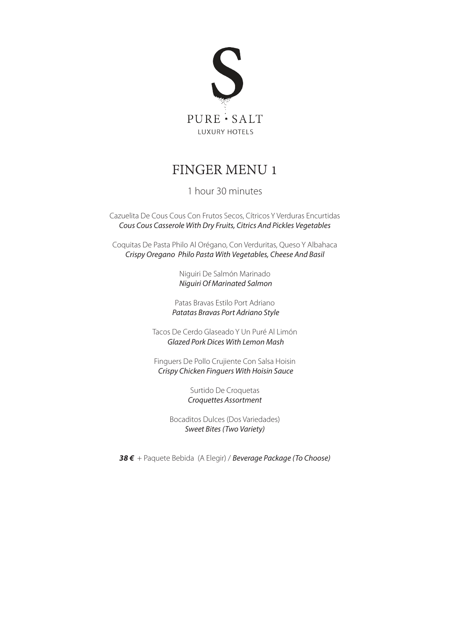

#### FINGER MENU 1

#### 1 hour 30 minutes

Cazuelita De Cous Cous Con Frutos Secos, Cítricos Y Verduras Encurtidas *Cous Cous Casserole With Dry Fruits, Citrics And Pickles Vegetables*

Coquitas De Pasta Philo Al Orégano, Con Verduritas, Queso Y Albahaca *Crispy Oregano Philo Pasta With Vegetables, Cheese And Basil*

> Niguiri De Salmón Marinado *Niguiri Of Marinated Salmon*

Patas Bravas Estilo Port Adriano *Patatas Bravas Port Adriano Style*

Tacos De Cerdo Glaseado Y Un Puré Al Limón *Glazed Pork Dices With Lemon Mash*

Finguers De Pollo Crujiente Con Salsa Hoisin *Crispy Chicken Finguers With Hoisin Sauce*

> Surtido De Croquetas *Croquettes Assortment*

Bocaditos Dulces (Dos Variedades) *Sweet Bites (Two Variety)*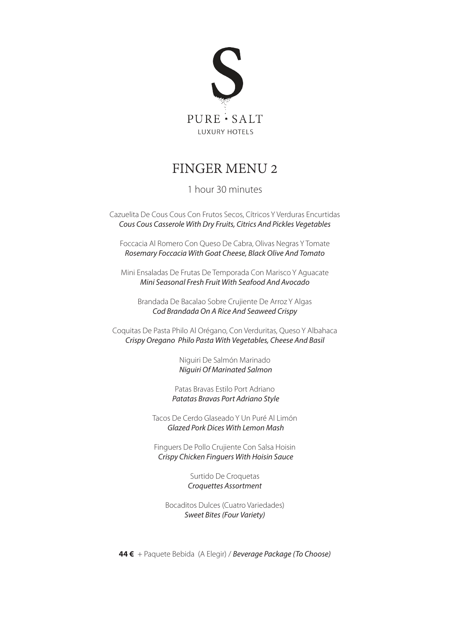

### FINGER MENU 2

#### 1 hour 30 minutes

Cazuelita De Cous Cous Con Frutos Secos, Cítricos Y Verduras Encurtidas *Cous Cous Casserole With Dry Fruits, Citrics And Pickles Vegetables*

Foccacia Al Romero Con Queso De Cabra, Olivas Negras Y Tomate *Rosemary Foccacia With Goat Cheese, Black Olive And Tomato*

Mini Ensaladas De Frutas De Temporada Con Marisco Y Aguacate *Mini Seasonal Fresh Fruit With Seafood And Avocado*

Brandada De Bacalao Sobre Crujiente De Arroz Y Algas *Cod Brandada On A Rice And Seaweed Crispy*

Coquitas De Pasta Philo Al Orégano, Con Verduritas, Queso Y Albahaca *Crispy Oregano Philo Pasta With Vegetables, Cheese And Basil*

> Niguiri De Salmón Marinado *Niguiri Of Marinated Salmon*

Patas Bravas Estilo Port Adriano *Patatas Bravas Port Adriano Style*

Tacos De Cerdo Glaseado Y Un Puré Al Limón *Glazed Pork Dices With Lemon Mash*

Finguers De Pollo Crujiente Con Salsa Hoisin *Crispy Chicken Finguers With Hoisin Sauce*

> Surtido De Croquetas *Croquettes Assortment*

Bocaditos Dulces (Cuatro Variedades) *Sweet Bites (Four Variety)*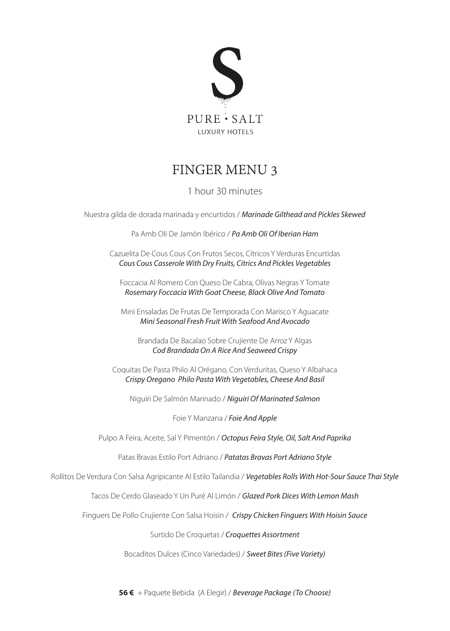

### FINGER MENU 3

#### 1 hour 30 minutes

Nuestra gilda de dorada marinada y encurtidos / *Marinade Gilthead and Pickles Skewed*

Pa Amb Oli De Jamón Ibérico / *Pa Amb Oli Of Iberian Ham*

Cazuelita De Cous Cous Con Frutos Secos, Cítricos Y Verduras Encurtidas *Cous Cous Casserole With Dry Fruits, Citrics And Pickles Vegetables*

Foccacia Al Romero Con Queso De Cabra, Olivas Negras Y Tomate *Rosemary Foccacia With Goat Cheese, Black Olive And Tomato*

Mini Ensaladas De Frutas De Temporada Con Marisco Y Aguacate *Mini Seasonal Fresh Fruit With Seafood And Avocado*

Brandada De Bacalao Sobre Crujiente De Arroz Y Algas *Cod Brandada On A Rice And Seaweed Crispy*

Coquitas De Pasta Philo Al Orégano, Con Verduritas, Queso Y Albahaca *Crispy Oregano Philo Pasta With Vegetables, Cheese And Basil*

Niguiri De Salmón Marinado / *Niguiri Of Marinated Salmon*

Foie Y Manzana / *Foie And Apple*

Pulpo A Feira, Aceite, Sal Y Pimentón / *Octopus Feira Style, Oil, Salt And Paprika*

Patas Bravas Estilo Port Adriano / *Patatas Bravas Port Adriano Style*

Rollitos De Verdura Con Salsa Agripicante Al Estilo Tailandia / *Vegetables Rolls With Hot-Sour Sauce Thai Style*

Tacos De Cerdo Glaseado Y Un Puré Al Limón / *Glazed Pork Dices With Lemon Mash*

Finguers De Pollo Crujiente Con Salsa Hoisin / *Crispy Chicken Finguers With Hoisin Sauce*

Surtido De Croquetas / *Croquettes Assortment*

Bocaditos Dulces (Cinco Variedades) / *Sweet Bites (Five Variety)*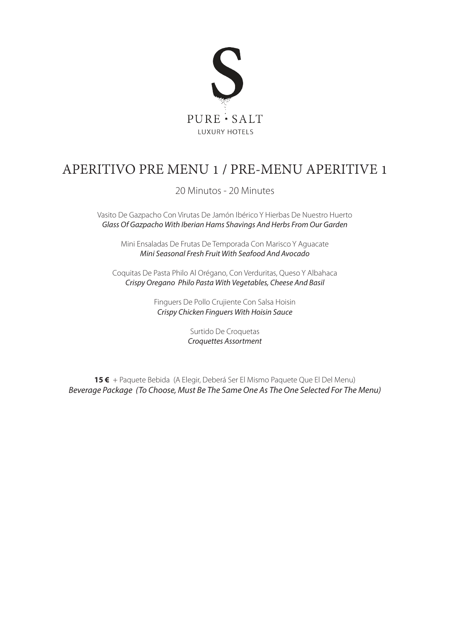

# APERITIVO PRE MENU 1 / PRE-MENU APERITIVE 1

20 Minutos - 20 Minutes

Vasito De Gazpacho Con Virutas De Jamón Ibérico Y Hierbas De Nuestro Huerto *Glass Of Gazpacho With Iberian Hams Shavings And Herbs From Our Garden*

Mini Ensaladas De Frutas De Temporada Con Marisco Y Aguacate *Mini Seasonal Fresh Fruit With Seafood And Avocado*

Coquitas De Pasta Philo Al Orégano, Con Verduritas, Queso Y Albahaca *Crispy Oregano Philo Pasta With Vegetables, Cheese And Basil*

> Finguers De Pollo Crujiente Con Salsa Hoisin *Crispy Chicken Finguers With Hoisin Sauce*

> > Surtido De Croquetas *Croquettes Assortment*

**15 €** + Paquete Bebida (A Elegir, Deberá Ser El Mismo Paquete Que El Del Menu) *Beverage Package (To Choose, Must Be The Same One As The One Selected For The Menu)*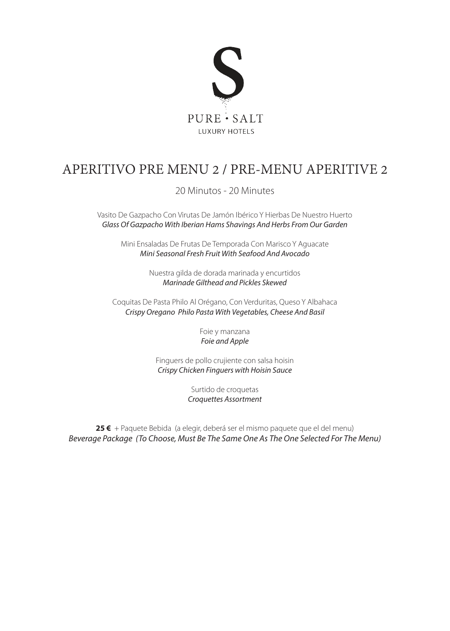

# APERITIVO PRE MENU 2 / PRE-MENU APERITIVE 2

20 Minutos - 20 Minutes

Vasito De Gazpacho Con Virutas De Jamón Ibérico Y Hierbas De Nuestro Huerto *Glass Of Gazpacho With Iberian Hams Shavings And Herbs From Our Garden*

Mini Ensaladas De Frutas De Temporada Con Marisco Y Aguacate *Mini Seasonal Fresh Fruit With Seafood And Avocado*

> Nuestra gilda de dorada marinada y encurtidos *Marinade Gilthead and Pickles Skewed*

Coquitas De Pasta Philo Al Orégano, Con Verduritas, Queso Y Albahaca *Crispy Oregano Philo Pasta With Vegetables, Cheese And Basil*

> Foie y manzana *Foie and Apple*

Finguers de pollo crujiente con salsa hoisin *Crispy Chicken Finguers with Hoisin Sauce*

> Surtido de croquetas *Croquettes Assortment*

**25 €** + Paquete Bebida (a elegir, deberá ser el mismo paquete que el del menu) *Beverage Package (To Choose, Must Be The Same One As The One Selected For The Menu)*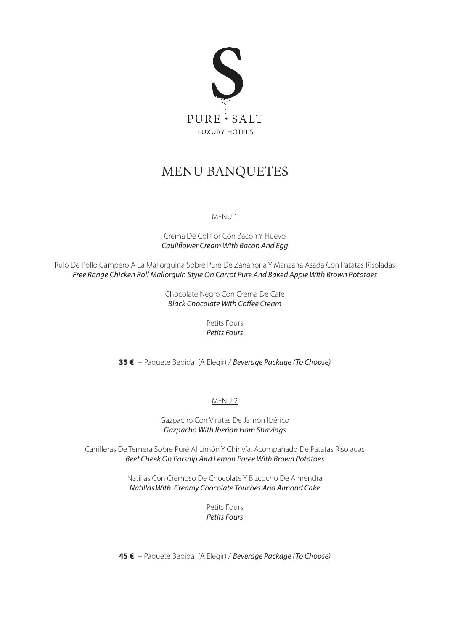

### MENU BANQUETES

#### MENU 1

Crema De Coliflor Con Bacon Y Huevo *Cauliflower Cream With Bacon And Egg*

Rulo De Pollo Campero A La Mallorquina Sobre Puré De Zanahoria Y Manzana Asada Con Patatas Risoladas *Free Range Chicken Roll Mallorquin Style On Carrot Pure And Baked Apple With Brown Potatoes*

> Chocolate Negro Con Crema De Café *Black Chocolate With Coffee Cream*

> > Petits Fours *Petits Fours*

**35 €** + Paquete Bebida (A Elegir) / *Beverage Package (To Choose)*

#### MENU 2

Gazpacho Con Virutas De Jamón Ibérico *Gazpacho With Iberian Ham Shavings*

Carrilleras De Ternera Sobre Puré Al Limón Y Chirivía. Acompañado De Patatas Risoladas *Beef Cheek On Parsnip And Lemon Puree With Brown Potatoes*

> Natillas Con Cremoso De Chocolate Y Bizcocho De Almendra *Natillas With Creamy Chocolate Touches And Almond Cake*

> > Petits Fours *Petits Fours*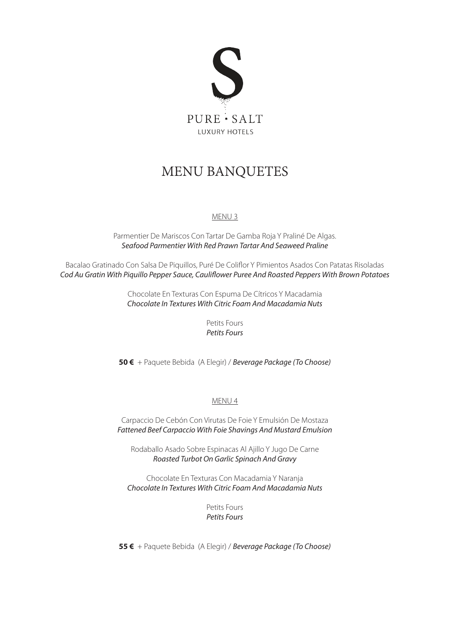

### MENU BANQUETES

#### MENU 3

Parmentier De Mariscos Con Tartar De Gamba Roja Y Praliné De Algas. *Seafood Parmentier With Red Prawn Tartar And Seaweed Praline*

Bacalao Gratinado Con Salsa De Piquillos, Puré De Coliflor Y Pimientos Asados Con Patatas Risoladas *Cod Au Gratin With Piquillo Pepper Sauce, Cauliflower Puree And Roasted Peppers With Brown Potatoes*

> Chocolate En Texturas Con Espuma De Cítricos Y Macadamia *Chocolate In Textures With Citric Foam And Macadamia Nuts*

> > Petits Fours *Petits Fours*

**50 €** + Paquete Bebida (A Elegir) / *Beverage Package (To Choose)*

#### MENU 4

Carpaccio De Cebón Con Virutas De Foie Y Emulsión De Mostaza *Fattened Beef Carpaccio With Foie Shavings And Mustard Emulsion*

Rodaballo Asado Sobre Espinacas Al Ajillo Y Jugo De Carne *Roasted Turbot On Garlic Spinach And Gravy*

Chocolate En Texturas Con Macadamia Y Naranja *Chocolate In Textures With Citric Foam And Macadamia Nuts*

> Petits Fours *Petits Fours*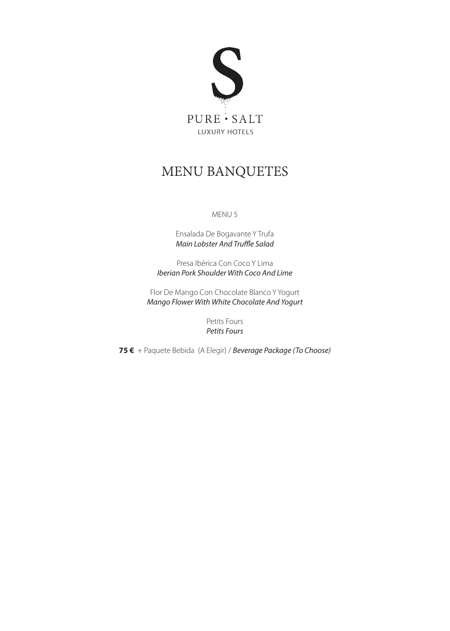

### MENU BANQUETES

#### MENU 5

Ensalada De Bogavante Y Trufa *Main Lobster And Truffle Salad*

Presa Ibérica Con Coco Y Lima *Iberian Pork Shoulder With Coco And Lime*

Flor De Mango Con Chocolate Blanco Y Yogurt *Mango Flower With White Chocolate And Yogurt*

> Petits Fours *Petits Fours*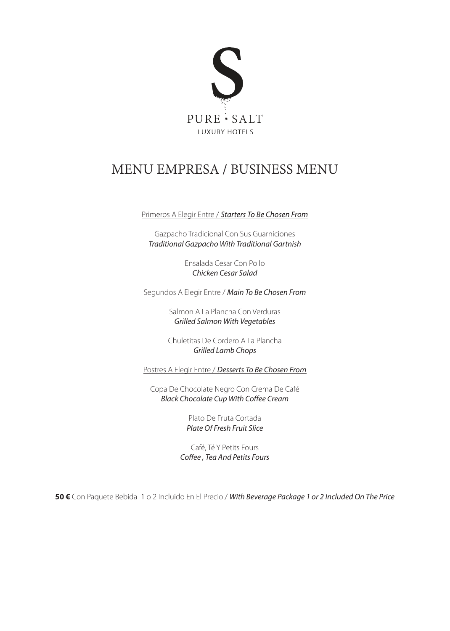

# MENU EMPRESA / BUSINESS MENU

Primeros A Elegir Entre / *Starters To Be Chosen From*

Gazpacho Tradicional Con Sus Guarniciones *Traditional Gazpacho With Traditional Gartnish*

> Ensalada Cesar Con Pollo *Chicken Cesar Salad*

Segundos A Elegir Entre / *Main To Be Chosen From*

Salmon A La Plancha Con Verduras *Grilled Salmon With Vegetables*

Chuletitas De Cordero A La Plancha *Grilled Lamb Chops*

Postres A Elegir Entre / *Desserts To Be Chosen From*

Copa De Chocolate Negro Con Crema De Café *Black Chocolate Cup With Coffee Cream*

> Plato De Fruta Cortada *Plate Of Fresh Fruit Slice*

Café, Té Y Petits Fours *Coffee , Tea And Petits Fours*

**50 €** Con Paquete Bebida 1 o 2 Incluido En El Precio / *With Beverage Package 1 or 2 Included On The Price*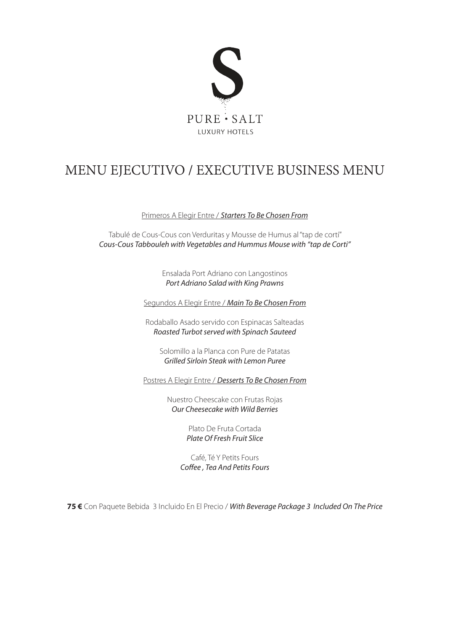

# MENU EJECUTIVO / EXECUTIVE BUSINESS MENU

Primeros A Elegir Entre / *Starters To Be Chosen From*

Tabulé de Cous-Cous con Verduritas y Mousse de Humus al "tap de cortí" *Cous-Cous Tabbouleh with Vegetables and Hummus Mouse with "tap de Corti"*

> Ensalada Port Adriano con Langostinos *Port Adriano Salad with King Prawns*

Segundos A Elegir Entre / *Main To Be Chosen From*

Rodaballo Asado servido con Espinacas Salteadas *Roasted Turbot served with Spinach Sauteed*

Solomillo a la Planca con Pure de Patatas *Grilled Sirloin Steak with Lemon Puree*

Postres A Elegir Entre / *Desserts To Be Chosen From*

Nuestro Cheescake con Frutas Rojas *Our Cheesecake with Wild Berries*

> Plato De Fruta Cortada *Plate Of Fresh Fruit Slice*

Café, Té Y Petits Fours *Coffee , Tea And Petits Fours*

**75 €** Con Paquete Bebida 3 Incluido En El Precio / *With Beverage Package 3 Included On The Price*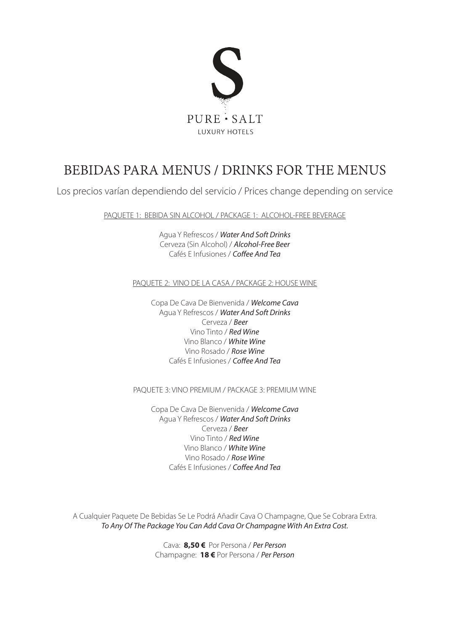

### BEBIDAS PARA MENUS / DRINKS FOR THE MENUS

Los precios varían dependiendo del servicio / Prices change depending on service

PAQUETE 1: BEBIDA SIN ALCOHOL / PACKAGE 1: ALCOHOL-FREE BEVERAGE

Agua Y Refrescos / *Water And Soft Drinks* Cerveza (Sin Alcohol) / *Alcohol-Free Beer* Cafés E Infusiones / *Coffee And Tea*

#### PAQUETE 2: VINO DE LA CASA / PACKAGE 2: HOUSE WINE

Copa De Cava De Bienvenida / *Welcome Cava* Agua Y Refrescos / *Water And Soft Drinks* Cerveza / *Beer* Vino Tinto / *Red Wine* Vino Blanco / *White Wine* Vino Rosado / *Rose Wine* Cafés E Infusiones / *Coffee And Tea*

#### PAQUETE 3: VINO PREMIUM / PACKAGE 3: PREMIUM WINE

Copa De Cava De Bienvenida / *Welcome Cava* Agua Y Refrescos / *Water And Soft Drinks* Cerveza / *Beer* Vino Tinto / *Red Wine* Vino Blanco / *White Wine* Vino Rosado / *Rose Wine* Cafés E Infusiones / *Coffee And Tea*

A Cualquier Paquete De Bebidas Se Le Podrá Añadir Cava O Champagne, Que Se Cobrara Extra. *To Any Of The Package You Can Add Cava Or Champagne With An Extra Cost.* 

> Cava: **8,50 €** Por Persona / *Per Person* Champagne: **18 €** Por Persona / *Per Person*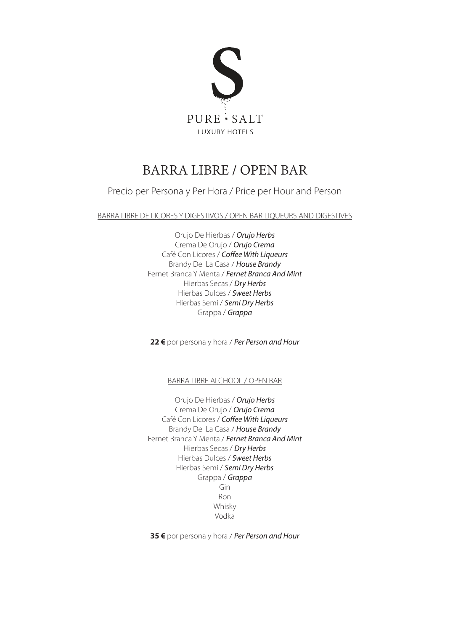

# BARRA LIBRE / OPEN BAR

Precio per Persona y Per Hora / Price per Hour and Person

BARRA LIBRE DE LICORES Y DIGESTIVOS / OPEN BAR LIQUEURS AND DIGESTIVES

Orujo De Hierbas / *Orujo Herbs*  Crema De Orujo / *Orujo Crema* Café Con Licores / *Coffee With Liqueurs* Brandy De La Casa / *House Brandy* Fernet Branca Y Menta / *Fernet Branca And Mint* Hierbas Secas / *Dry Herbs* Hierbas Dulces / *Sweet Herbs* Hierbas Semi / *Semi Dry Herbs* Grappa / *Grappa*

**22 €** por persona y hora / *Per Person and Hour*

BARRA LIBRE ALCHOOL / OPEN BAR

Orujo De Hierbas / *Orujo Herbs*  Crema De Orujo / *Orujo Crema* Café Con Licores / *Coffee With Liqueurs* Brandy De La Casa / *House Brandy* Fernet Branca Y Menta / *Fernet Branca And Mint* Hierbas Secas / *Dry Herbs* Hierbas Dulces / *Sweet Herbs* Hierbas Semi / *Semi Dry Herbs* Grappa / *Grappa* Gin Ron Whisky Vodka

**35 €** por persona y hora / *Per Person and Hour*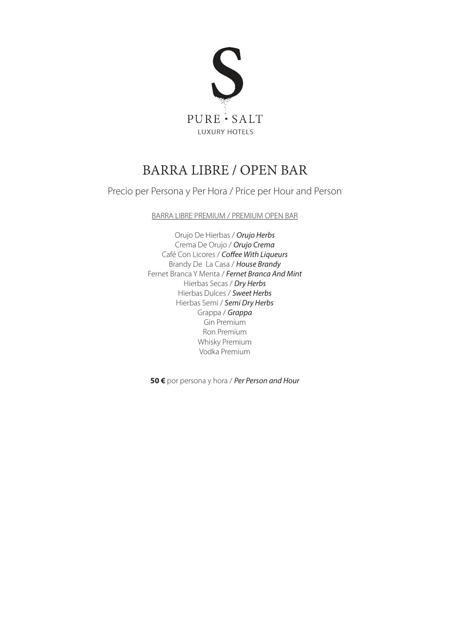

# BARRA LIBRE / OPEN BAR

Precio per Persona y Per Hora / Price per Hour and Person

#### BARRA LIBRE PREMIUM / PREMIUM OPEN BAR

Orujo De Hierbas / *Orujo Herbs*  Crema De Orujo / *Orujo Crema* Café Con Licores / *Coffee With Liqueurs* Brandy De La Casa / *House Brandy* Fernet Branca Y Menta / *Fernet Branca And Mint* Hierbas Secas / *Dry Herbs* Hierbas Dulces / *Sweet Herbs* Hierbas Semi / *Semi Dry Herbs* Grappa / *Grappa* Gin Premium Ron Premium Whisky Premium Vodka Premium

**50 €** por persona y hora / *Per Person and Hour*